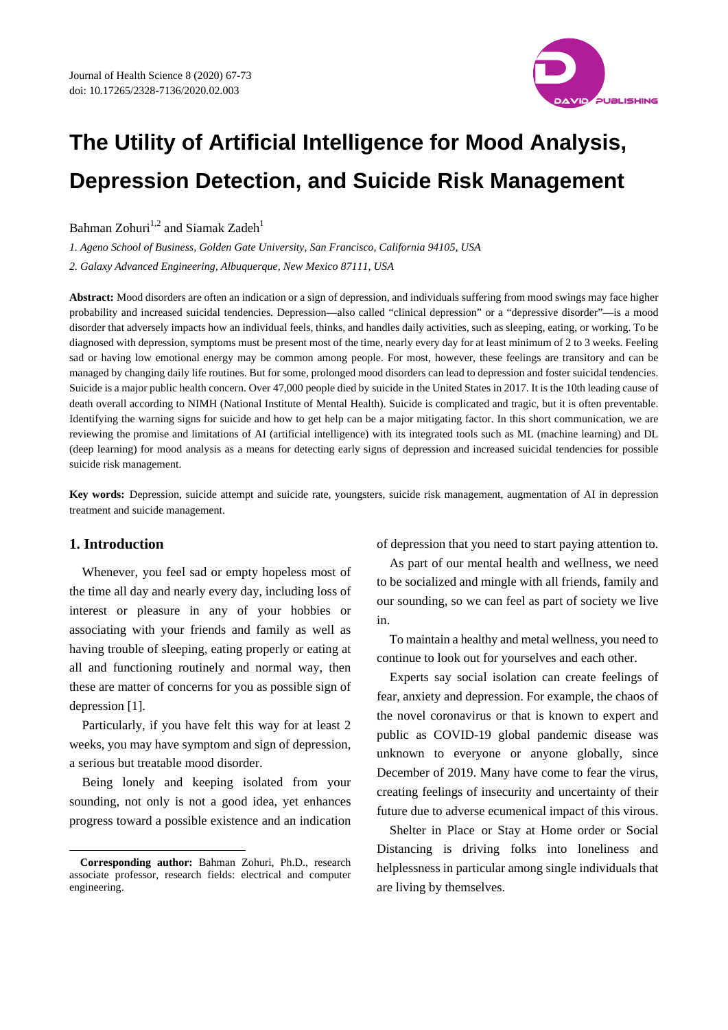

# **The Utility of Artificial Intelligence for Mood Analysis, Depression Detection, and Suicide Risk Management**

Bahman Zohuri<sup>1,2</sup> and Siamak Zadeh<sup>1</sup>

*1. Ageno School of Business, Golden Gate University, San Francisco, California 94105, USA 2. Galaxy Advanced Engineering, Albuquerque, New Mexico 87111, USA* 

**Abstract:** Mood disorders are often an indication or a sign of depression, and individuals suffering from mood swings may face higher probability and increased suicidal tendencies. Depression—also called "clinical depression" or a "depressive disorder"—is a mood disorder that adversely impacts how an individual feels, thinks, and handles daily activities, such as sleeping, eating, or working. To be diagnosed with depression, symptoms must be present most of the time, nearly every day for at least minimum of 2 to 3 weeks. Feeling sad or having low emotional energy may be common among people. For most, however, these feelings are transitory and can be managed by changing daily life routines. But for some, prolonged mood disorders can lead to depression and foster suicidal tendencies. Suicide is a major public health concern. Over 47,000 people died by suicide in the United States in 2017. It is the 10th leading cause of death overall according to NIMH (National Institute of Mental Health). Suicide is complicated and tragic, but it is often preventable. Identifying the warning signs for suicide and how to get help can be a major mitigating factor. In this short communication, we are reviewing the promise and limitations of AI (artificial intelligence) with its integrated tools such as ML (machine learning) and DL (deep learning) for mood analysis as a means for detecting early signs of depression and increased suicidal tendencies for possible suicide risk management.

**Key words:** Depression, suicide attempt and suicide rate, youngsters, suicide risk management, augmentation of AI in depression treatment and suicide management.

## **1. Introduction**

 $\overline{a}$ 

Whenever, you feel sad or empty hopeless most of the time all day and nearly every day, including loss of interest or pleasure in any of your hobbies or associating with your friends and family as well as having trouble of sleeping, eating properly or eating at all and functioning routinely and normal way, then these are matter of concerns for you as possible sign of depression [1].

Particularly, if you have felt this way for at least 2 weeks, you may have symptom and sign of depression, a serious but treatable mood disorder.

Being lonely and keeping isolated from your sounding, not only is not a good idea, yet enhances progress toward a possible existence and an indication of depression that you need to start paying attention to.

As part of our mental health and wellness, we need to be socialized and mingle with all friends, family and our sounding, so we can feel as part of society we live in.

To maintain a healthy and metal wellness, you need to continue to look out for yourselves and each other.

Experts say social isolation can create feelings of fear, anxiety and depression. For example, the chaos of the novel coronavirus or that is known to expert and public as COVID-19 global pandemic disease was unknown to everyone or anyone globally, since December of 2019. Many have come to fear the virus, creating feelings of insecurity and uncertainty of their future due to adverse ecumenical impact of this virous.

Shelter in Place or Stay at Home order or Social Distancing is driving folks into loneliness and helplessness in particular among single individuals that are living by themselves.

**Corresponding author:** Bahman Zohuri, Ph.D., research associate professor, research fields: electrical and computer engineering.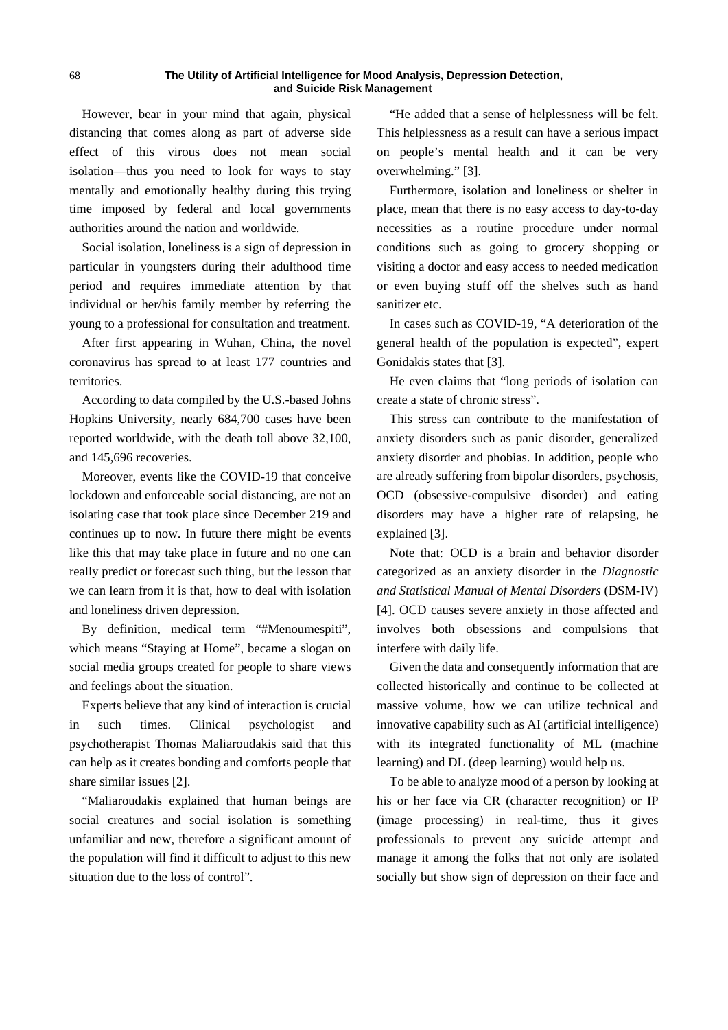However, bear in your mind that again, physical distancing that comes along as part of adverse side effect of this virous does not mean social isolation—thus you need to look for ways to stay mentally and emotionally healthy during this trying time imposed by federal and local governments authorities around the nation and worldwide.

Social isolation, loneliness is a sign of depression in particular in youngsters during their adulthood time period and requires immediate attention by that individual or her/his family member by referring the young to a professional for consultation and treatment.

After first appearing in Wuhan, China, the novel coronavirus has spread to at least 177 countries and territories.

According to data compiled by the U.S.-based Johns Hopkins University, nearly 684,700 cases have been reported worldwide, with the death toll above 32,100, and 145,696 recoveries.

Moreover, events like the COVID-19 that conceive lockdown and enforceable social distancing, are not an isolating case that took place since December 219 and continues up to now. In future there might be events like this that may take place in future and no one can really predict or forecast such thing, but the lesson that we can learn from it is that, how to deal with isolation and loneliness driven depression.

By definition, medical term "#Menoumespiti", which means "Staying at Home", became a slogan on social media groups created for people to share views and feelings about the situation.

Experts believe that any kind of interaction is crucial in such times. Clinical psychologist and psychotherapist Thomas Maliaroudakis said that this can help as it creates bonding and comforts people that share similar issues [2].

"Maliaroudakis explained that human beings are social creatures and social isolation is something unfamiliar and new, therefore a significant amount of the population will find it difficult to adjust to this new situation due to the loss of control".

"He added that a sense of helplessness will be felt. This helplessness as a result can have a serious impact on people's mental health and it can be very overwhelming." [3].

Furthermore, isolation and loneliness or shelter in place, mean that there is no easy access to day-to-day necessities as a routine procedure under normal conditions such as going to grocery shopping or visiting a doctor and easy access to needed medication or even buying stuff off the shelves such as hand sanitizer etc.

In cases such as COVID-19, "A deterioration of the general health of the population is expected", expert Gonidakis states that [3].

He even claims that "long periods of isolation can create a state of chronic stress".

This stress can contribute to the manifestation of anxiety disorders such as panic disorder, generalized anxiety disorder and phobias. In addition, people who are already suffering from bipolar disorders, psychosis, OCD (obsessive-compulsive disorder) and eating disorders may have a higher rate of relapsing, he explained [3].

Note that: OCD is a brain and behavior disorder categorized as an anxiety disorder in the *Diagnostic and Statistical Manual of Mental Disorders* (DSM-IV) [4]. OCD causes severe anxiety in those affected and involves both obsessions and compulsions that interfere with daily life.

Given the data and consequently information that are collected historically and continue to be collected at massive volume, how we can utilize technical and innovative capability such as AI (artificial intelligence) with its integrated functionality of ML (machine learning) and DL (deep learning) would help us.

To be able to analyze mood of a person by looking at his or her face via CR (character recognition) or IP (image processing) in real-time, thus it gives professionals to prevent any suicide attempt and manage it among the folks that not only are isolated socially but show sign of depression on their face and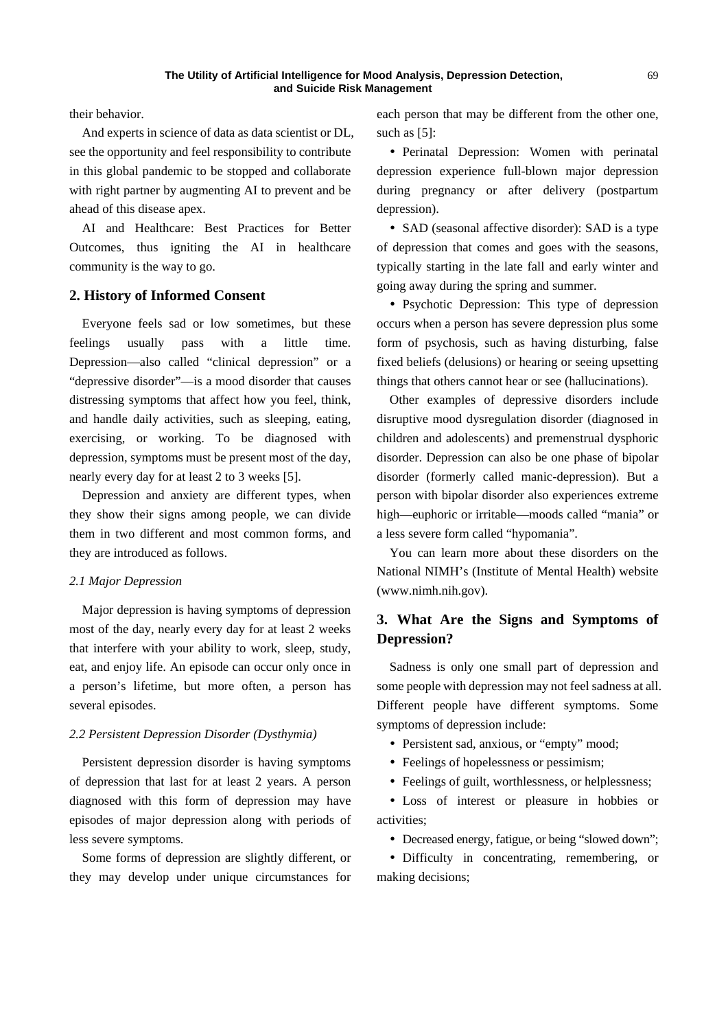their behavior.

And experts in science of data as data scientist or DL, see the opportunity and feel responsibility to contribute in this global pandemic to be stopped and collaborate with right partner by augmenting AI to prevent and be ahead of this disease apex.

AI and Healthcare: Best Practices for Better Outcomes, thus igniting the AI in healthcare community is the way to go.

### **2. History of Informed Consent**

Everyone feels sad or low sometimes, but these feelings usually pass with a little time. Depression—also called "clinical depression" or a "depressive disorder"—is a mood disorder that causes distressing symptoms that affect how you feel, think, and handle daily activities, such as sleeping, eating, exercising, or working. To be diagnosed with depression, symptoms must be present most of the day, nearly every day for at least 2 to 3 weeks [5].

Depression and anxiety are different types, when they show their signs among people, we can divide them in two different and most common forms, and they are introduced as follows.

#### *2.1 Major Depression*

Major depression is having symptoms of depression most of the day, nearly every day for at least 2 weeks that interfere with your ability to work, sleep, study, eat, and enjoy life. An episode can occur only once in a person's lifetime, but more often, a person has several episodes.

#### *2.2 Persistent Depression Disorder (Dysthymia)*

Persistent depression disorder is having symptoms of depression that last for at least 2 years. A person diagnosed with this form of depression may have episodes of major depression along with periods of less severe symptoms.

Some forms of depression are slightly different, or they may develop under unique circumstances for

each person that may be different from the other one, such as [5]:

y Perinatal Depression: Women with perinatal depression experience full-blown major depression during pregnancy or after delivery (postpartum depression).

• SAD (seasonal affective disorder): SAD is a type of depression that comes and goes with the seasons, typically starting in the late fall and early winter and going away during the spring and summer.

• Psychotic Depression: This type of depression occurs when a person has severe depression plus some form of psychosis, such as having disturbing, false fixed beliefs (delusions) or hearing or seeing upsetting things that others cannot hear or see (hallucinations).

Other examples of depressive disorders include disruptive mood dysregulation disorder (diagnosed in children and adolescents) and premenstrual dysphoric disorder. Depression can also be one phase of bipolar disorder (formerly called manic-depression). But a person with bipolar disorder also experiences extreme high—euphoric or irritable—moods called "mania" or a less severe form called "hypomania".

You can learn more about these disorders on the National NIMH's (Institute of Mental Health) website (www.nimh.nih.gov).

# **3. What Are the Signs and Symptoms of Depression?**

Sadness is only one small part of depression and some people with depression may not feel sadness at all. Different people have different symptoms. Some symptoms of depression include:

- Persistent sad, anxious, or "empty" mood:
- Feelings of hopelessness or pessimism;
- Feelings of guilt, worthlessness, or helplessness;

y Loss of interest or pleasure in hobbies or activities;

• Decreased energy, fatigue, or being "slowed down";

• Difficulty in concentrating, remembering, or making decisions;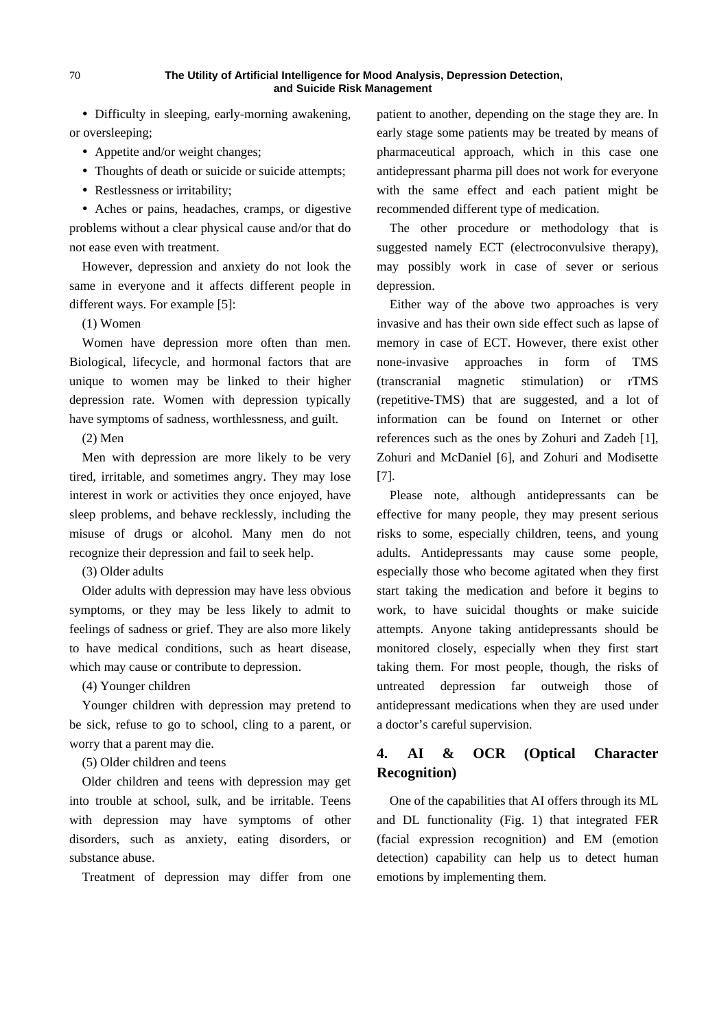• Difficulty in sleeping, early-morning awakening, or oversleeping;

- Appetite and/or weight changes;
- Thoughts of death or suicide or suicide attempts;
- Restlessness or irritability;

• Aches or pains, headaches, cramps, or digestive problems without a clear physical cause and/or that do not ease even with treatment.

However, depression and anxiety do not look the same in everyone and it affects different people in different ways. For example [5]:

(1) Women

Women have depression more often than men. Biological, lifecycle, and hormonal factors that are unique to women may be linked to their higher depression rate. Women with depression typically have symptoms of sadness, worthlessness, and guilt.

(2) Men

Men with depression are more likely to be very tired, irritable, and sometimes angry. They may lose interest in work or activities they once enjoyed, have sleep problems, and behave recklessly, including the misuse of drugs or alcohol. Many men do not recognize their depression and fail to seek help.

(3) Older adults

Older adults with depression may have less obvious symptoms, or they may be less likely to admit to feelings of sadness or grief. They are also more likely to have medical conditions, such as heart disease, which may cause or contribute to depression.

(4) Younger children

Younger children with depression may pretend to be sick, refuse to go to school, cling to a parent, or worry that a parent may die.

(5) Older children and teens

Older children and teens with depression may get into trouble at school, sulk, and be irritable. Teens with depression may have symptoms of other disorders, such as anxiety, eating disorders, or substance abuse.

Treatment of depression may differ from one

patient to another, depending on the stage they are. In early stage some patients may be treated by means of pharmaceutical approach, which in this case one antidepressant pharma pill does not work for everyone with the same effect and each patient might be recommended different type of medication.

The other procedure or methodology that is suggested namely ECT (electroconvulsive therapy), may possibly work in case of sever or serious depression.

Either way of the above two approaches is very invasive and has their own side effect such as lapse of memory in case of ECT. However, there exist other none-invasive approaches in form of TMS (transcranial magnetic stimulation) or rTMS (repetitive-TMS) that are suggested, and a lot of information can be found on Internet or other references such as the ones by Zohuri and Zadeh [1], Zohuri and McDaniel [6], and Zohuri and Modisette [7].

Please note, although antidepressants can be effective for many people, they may present serious risks to some, especially children, teens, and young adults. Antidepressants may cause some people, especially those who become agitated when they first start taking the medication and before it begins to work, to have suicidal thoughts or make suicide attempts. Anyone taking antidepressants should be monitored closely, especially when they first start taking them. For most people, though, the risks of untreated depression far outweigh those of antidepressant medications when they are used under a doctor's careful supervision.

# **4. AI & OCR (Optical Character Recognition)**

One of the capabilities that AI offers through its ML and DL functionality (Fig. 1) that integrated FER (facial expression recognition) and EM (emotion detection) capability can help us to detect human emotions by implementing them.

70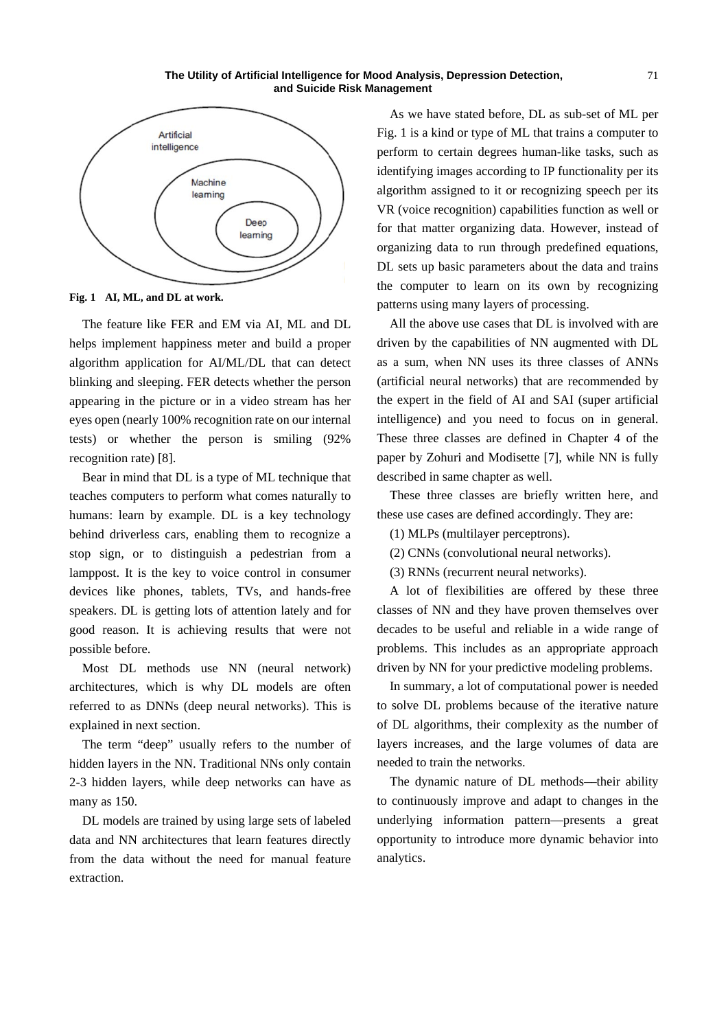

Fig. 1 AI, ML, and DL at work.

The feature like FER and EM via AI, ML and DL helps implement happiness meter and build a proper algorithm application for AI/ML/DL that can detect blinking and sleeping. FER detects whether the person appearing in the picture or in a video stream has her eyes open (nearly 100% recognition rate on our internal tests) or w whether the person is smiling (9 92% recognition rate) [8].

Bear in mind that DL is a type of ML technique that teaches computers to perform what comes naturally to humans: learn by example. DL is a key technology behind driverless cars, enabling them to recognize a stop sign, or to distinguish a pedestrian from a lamppost. It is the key to voice control in consumer devices like phones, tablets, TVs, and hands-free speakers. DL is getting lots of attention lately and for good reason. It is achieving results that were not possible bef fore.

Most DL methods use NN (neural network) architectures, which is why DL models are often referred to as DNNs (deep neural networks). This is explained in next section.

The term "deep" usually refers to the number of hidden layers in the NN. Traditional NNs only contain 2-3 hidden layers, while deep networks can have as many as 150.

DL models are trained by using large sets of labeled data and NN architectures that learn features directly from the data without the need for manual feature extraction.

As we have stated before, DL as sub-set of ML per Fig. 1 is a kind or type of ML that trains a computer to perform to certain degrees human-like tasks, such as identifying images according to IP functionality per its algorithm assigned to it or recognizing speech per its VR (voice recognition) capabilities function as well or for that matter organizing data. However, instead of organizing data to run through predefined equations, DL sets up basic parameters about the data and trains the computer t o learn on its own by recognizing patterns using many layers of processing. ross for the state of the state of the state of the control of the control of the control of the control of the control of the control of the control of the control of the control of the control of the control of the contr

All the above use cases that DL is involved with are driven by the capabilities of NN augmented with DL as a sum, when NN uses its three classes of ANNs (artificial neural networks) that are recommended by the expert in the field of AI and SAI (super artificial intelligence) and you need to focus on in general. These three classes are defined in Chapter 4 of the paper by Zohuri and Modisette [7], while NN is fully described in same chapter as well.

These three classes are briefly written here, and these use cases are defined accordingly. They are:

- (1) MLPs (multilayer perceptrons).
- (2) CNNs (convolutional neural networks).
- ( 3) RNNs (rec current neura l networks).

A lot of flexibilities are offered by these three classes of NN and they have proven themselves over decades to be useful and reliable in a wide range of problems. This includes as an appropriate approach driven by NN for your predictive modeling problems.

In summary, a lot of computational power is needed to solve DL problems because of the iterative nature of DL algorithms, their complexity as the number of layers increases, and the large volumes of data are nee eded to train th he networks.

The dynamic nature of DL methods—their ability to continuously improve and adapt to changes in the underlying information pattern—presents a great opportunity to introduce more dynamic behavior into ana alytics.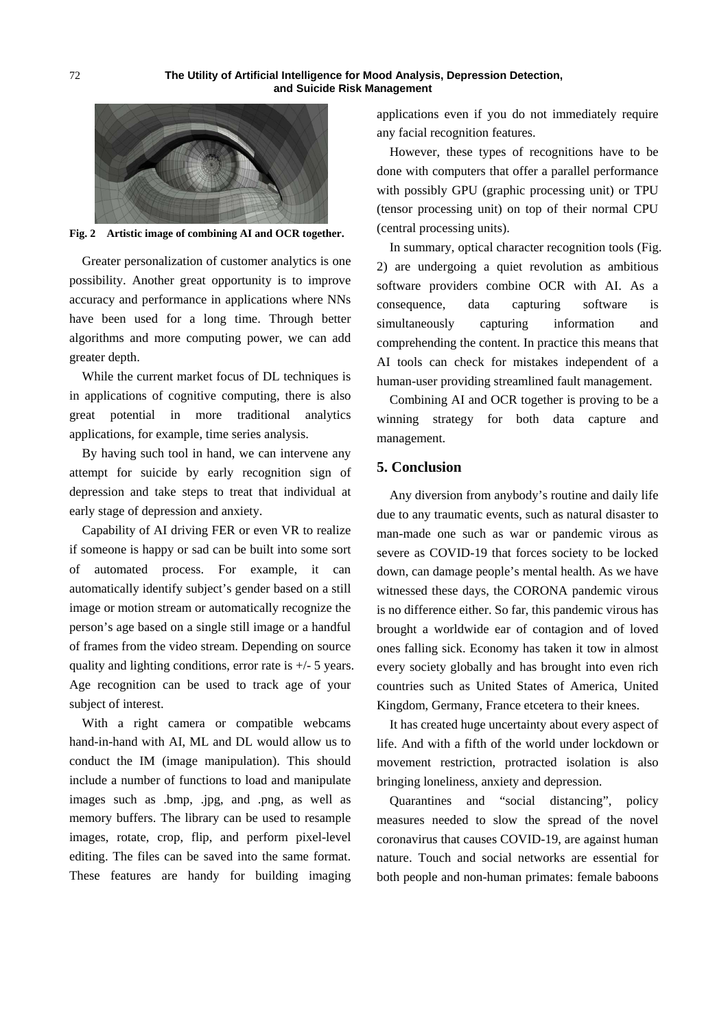

**Fig. 2 Artistic image of combining AI and OCR together.** 

Greater personalization of customer analytics is one possibility. Another great opportunity is to improve accuracy and performance in applications where NNs have been used for a long time. Through better algorithms and more computing power, we can add greater depth.

While the current market focus of DL techniques is in applications of cognitive computing, there is also great potential in more traditional analytics applications, for example, time series analysis.

By having such tool in hand, we can intervene any attempt for suicide by early recognition sign of depression and take steps to treat that individual at early stage of depression and anxiety.

Capability of AI driving FER or even VR to realize if someone is happy or sad can be built into some sort of automated process. For example, it can automatically identify subject's gender based on a still image or motion stream or automatically recognize the person's age based on a single still image or a handful of frames from the video stream. Depending on source quality and lighting conditions, error rate is +/- 5 years. Age recognition can be used to track age of your subject of interest.

With a right camera or compatible webcams hand-in-hand with AI, ML and DL would allow us to conduct the IM (image manipulation). This should include a number of functions to load and manipulate images such as .bmp, .jpg, and .png, as well as memory buffers. The library can be used to resample images, rotate, crop, flip, and perform pixel-level editing. The files can be saved into the same format. These features are handy for building imaging applications even if you do not immediately require any facial recognition features.

However, these types of recognitions have to be done with computers that offer a parallel performance with possibly GPU (graphic processing unit) or TPU (tensor processing unit) on top of their normal CPU (central processing units).

In summary, optical character recognition tools (Fig. 2) are undergoing a quiet revolution as ambitious software providers combine OCR with AI. As a consequence, data capturing software is simultaneously capturing information and comprehending the content. In practice this means that AI tools can check for mistakes independent of a human-user providing streamlined fault management.

Combining AI and OCR together is proving to be a winning strategy for both data capture and management.

## **5. Conclusion**

Any diversion from anybody's routine and daily life due to any traumatic events, such as natural disaster to man-made one such as war or pandemic virous as severe as COVID-19 that forces society to be locked down, can damage people's mental health. As we have witnessed these days, the CORONA pandemic virous is no difference either. So far, this pandemic virous has brought a worldwide ear of contagion and of loved ones falling sick. Economy has taken it tow in almost every society globally and has brought into even rich countries such as United States of America, United Kingdom, Germany, France etcetera to their knees.

It has created huge uncertainty about every aspect of life. And with a fifth of the world under lockdown or movement restriction, protracted isolation is also bringing loneliness, anxiety and depression.

Quarantines and "social distancing", policy measures needed to slow the spread of the novel coronavirus that causes COVID-19, are against human nature. Touch and social networks are essential for both people and non-human primates: female baboons